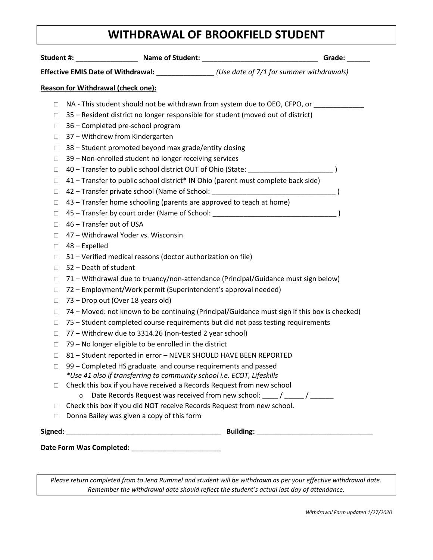## **WITHDRAWAL OF BROOKFIELD STUDENT**

|                                           | Effective EMIS Date of Withdrawal: _______________(Use date of 7/1 for summer withdrawals)   |  |  |
|-------------------------------------------|----------------------------------------------------------------------------------------------|--|--|
| <b>Reason for Withdrawal (check one):</b> |                                                                                              |  |  |
| $\Box$                                    | NA - This student should not be withdrawn from system due to OEO, CFPO, or                   |  |  |
| $\Box$                                    | 35 - Resident district no longer responsible for student (moved out of district)             |  |  |
| $\Box$                                    | 36 - Completed pre-school program                                                            |  |  |
| $\Box$                                    | 37 - Withdrew from Kindergarten                                                              |  |  |
| $\Box$                                    | 38 - Student promoted beyond max grade/entity closing                                        |  |  |
| $\Box$                                    | 39 - Non-enrolled student no longer receiving services                                       |  |  |
| $\Box$                                    | 40 - Transfer to public school district OUT of Ohio (State: _____________________            |  |  |
| $\Box$                                    | 41 – Transfer to public school district* IN Ohio (parent must complete back side)            |  |  |
| $\Box$                                    |                                                                                              |  |  |
| $\Box$                                    | 43 – Transfer home schooling (parents are approved to teach at home)                         |  |  |
| $\Box$                                    | 45 - Transfer by court order (Name of School: __________________________________             |  |  |
| $\Box$                                    | 46 - Transfer out of USA                                                                     |  |  |
| $\Box$                                    | 47 - Withdrawal Yoder vs. Wisconsin                                                          |  |  |
| $\Box$                                    | 48 - Expelled                                                                                |  |  |
| $\Box$                                    | 51 – Verified medical reasons (doctor authorization on file)                                 |  |  |
| $\Box$                                    | 52 - Death of student                                                                        |  |  |
| $\Box$                                    | 71 – Withdrawal due to truancy/non-attendance (Principal/Guidance must sign below)           |  |  |
| □                                         | 72 - Employment/Work permit (Superintendent's approval needed)                               |  |  |
| $\Box$                                    | 73 – Drop out (Over 18 years old)                                                            |  |  |
| $\Box$                                    | 74 - Moved: not known to be continuing (Principal/Guidance must sign if this box is checked) |  |  |
| $\Box$                                    | 75 - Student completed course requirements but did not pass testing requirements             |  |  |
| $\Box$                                    | 77 - Withdrew due to 3314.26 (non-tested 2 year school)                                      |  |  |
| $\Box$                                    | 79 - No longer eligible to be enrolled in the district                                       |  |  |
| $\Box$                                    | 81 - Student reported in error - NEVER SHOULD HAVE BEEN REPORTED                             |  |  |
|                                           | 99 - Completed HS graduate and course requirements and passed                                |  |  |
|                                           | *Use 41 also if transferring to community school i.e. ECOT, Lifeskills                       |  |  |
| $\Box$                                    | Check this box if you have received a Records Request from new school                        |  |  |
|                                           | Date Records Request was received from new school: ____ / _____ / ______<br>$\circ$          |  |  |
| □                                         | Check this box if you did NOT receive Records Request from new school.                       |  |  |
| $\Box$                                    | Donna Bailey was given a copy of this form                                                   |  |  |
|                                           |                                                                                              |  |  |
|                                           |                                                                                              |  |  |

*Please return completed from to Jena Rummel and student will be withdrawn as per your effective withdrawal date. Remember the withdrawal date should reflect the student's actual last day of attendance.*